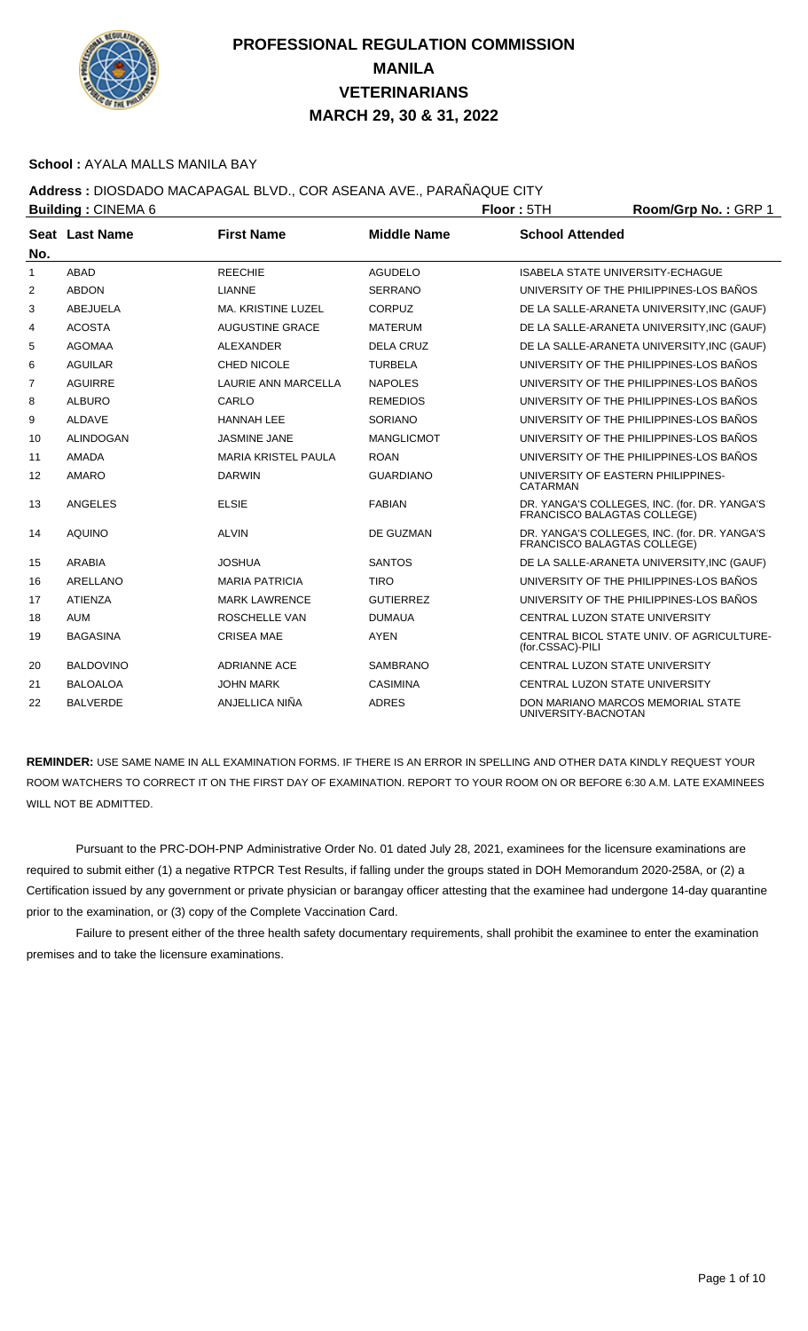

#### **School :** AYALA MALLS MANILA BAY

### **Address :** DIOSDADO MACAPAGAL BLVD., COR ASEANA AVE., PARAÑAQUE CITY

|                | <b>Building: CINEMA 6</b> |                            | Floor: 5TH         | Room/Grp No.: GRP 1         |                                              |
|----------------|---------------------------|----------------------------|--------------------|-----------------------------|----------------------------------------------|
| No.            | Seat Last Name            | <b>First Name</b>          | <b>Middle Name</b> | <b>School Attended</b>      |                                              |
| 1              | <b>ABAD</b>               | <b>REECHIE</b>             | <b>AGUDELO</b>     |                             | <b>ISABELA STATE UNIVERSITY-ECHAGUE</b>      |
| 2              | <b>ABDON</b>              | <b>LIANNE</b>              | <b>SERRANO</b>     |                             | UNIVERSITY OF THE PHILIPPINES-LOS BAÑOS      |
| 3              | <b>ABEJUELA</b>           | <b>MA. KRISTINE LUZEL</b>  | <b>CORPUZ</b>      |                             | DE LA SALLE-ARANETA UNIVERSITY, INC (GAUF)   |
| 4              | <b>ACOSTA</b>             | <b>AUGUSTINE GRACE</b>     | <b>MATERUM</b>     |                             | DE LA SALLE-ARANETA UNIVERSITY, INC (GAUF)   |
| 5              | <b>AGOMAA</b>             | <b>ALEXANDER</b>           | <b>DELA CRUZ</b>   |                             | DE LA SALLE-ARANETA UNIVERSITY, INC (GAUF)   |
| 6              | <b>AGUILAR</b>            | CHED NICOLE                | <b>TURBELA</b>     |                             | UNIVERSITY OF THE PHILIPPINES-LOS BAÑOS      |
| $\overline{7}$ | <b>AGUIRRE</b>            | <b>LAURIE ANN MARCELLA</b> | <b>NAPOLES</b>     |                             | UNIVERSITY OF THE PHILIPPINES-LOS BAÑOS      |
| 8              | <b>ALBURO</b>             | CARLO                      | <b>REMEDIOS</b>    |                             | UNIVERSITY OF THE PHILIPPINES-LOS BAÑOS      |
| 9              | <b>ALDAVE</b>             | <b>HANNAH LEE</b>          | <b>SORIANO</b>     |                             | UNIVERSITY OF THE PHILIPPINES-LOS BAÑOS      |
| 10             | <b>ALINDOGAN</b>          | <b>JASMINE JANE</b>        | <b>MANGLICMOT</b>  |                             | UNIVERSITY OF THE PHILIPPINES-LOS BAÑOS      |
| 11             | AMADA                     | <b>MARIA KRISTEL PAULA</b> | <b>ROAN</b>        |                             | UNIVERSITY OF THE PHILIPPINES-LOS BAÑOS      |
| 12             | <b>AMARO</b>              | <b>DARWIN</b>              | <b>GUARDIANO</b>   | <b>CATARMAN</b>             | UNIVERSITY OF EASTERN PHILIPPINES-           |
| 13             | <b>ANGELES</b>            | <b>ELSIE</b>               | <b>FABIAN</b>      | FRANCISCO BALAGTAS COLLEGE) | DR. YANGA'S COLLEGES, INC. (for. DR. YANGA'S |
| 14             | <b>AQUINO</b>             | <b>ALVIN</b>               | DE GUZMAN          | FRANCISCO BALAGTAS COLLEGE) | DR. YANGA'S COLLEGES, INC. (for. DR. YANGA'S |
| 15             | <b>ARABIA</b>             | <b>JOSHUA</b>              | <b>SANTOS</b>      |                             | DE LA SALLE-ARANETA UNIVERSITY, INC (GAUF)   |
| 16             | ARELLANO                  | <b>MARIA PATRICIA</b>      | <b>TIRO</b>        |                             | UNIVERSITY OF THE PHILIPPINES-LOS BAÑOS      |
| 17             | <b>ATIENZA</b>            | <b>MARK LAWRENCE</b>       | <b>GUTIERREZ</b>   |                             | UNIVERSITY OF THE PHILIPPINES-LOS BAÑOS      |
| 18             | <b>AUM</b>                | ROSCHELLE VAN              | <b>DUMAUA</b>      |                             | CENTRAL LUZON STATE UNIVERSITY               |
| 19             | <b>BAGASINA</b>           | <b>CRISEA MAE</b>          | <b>AYEN</b>        | (for.CSSAC)-PILI            | CENTRAL BICOL STATE UNIV. OF AGRICULTURE-    |
| 20             | <b>BALDOVINO</b>          | <b>ADRIANNE ACE</b>        | <b>SAMBRANO</b>    |                             | CENTRAL LUZON STATE UNIVERSITY               |
| 21             | <b>BALOALOA</b>           | <b>JOHN MARK</b>           | <b>CASIMINA</b>    |                             | CENTRAL LUZON STATE UNIVERSITY               |
| 22             | <b>BALVERDE</b>           | ANJELLICA NIÑA             | <b>ADRES</b>       | UNIVERSITY-BACNOTAN         | DON MARIANO MARCOS MEMORIAL STATE            |

**REMINDER:** USE SAME NAME IN ALL EXAMINATION FORMS. IF THERE IS AN ERROR IN SPELLING AND OTHER DATA KINDLY REQUEST YOUR ROOM WATCHERS TO CORRECT IT ON THE FIRST DAY OF EXAMINATION. REPORT TO YOUR ROOM ON OR BEFORE 6:30 A.M. LATE EXAMINEES WILL NOT BE ADMITTED.

 Pursuant to the PRC-DOH-PNP Administrative Order No. 01 dated July 28, 2021, examinees for the licensure examinations are required to submit either (1) a negative RTPCR Test Results, if falling under the groups stated in DOH Memorandum 2020-258A, or (2) a Certification issued by any government or private physician or barangay officer attesting that the examinee had undergone 14-day quarantine prior to the examination, or (3) copy of the Complete Vaccination Card.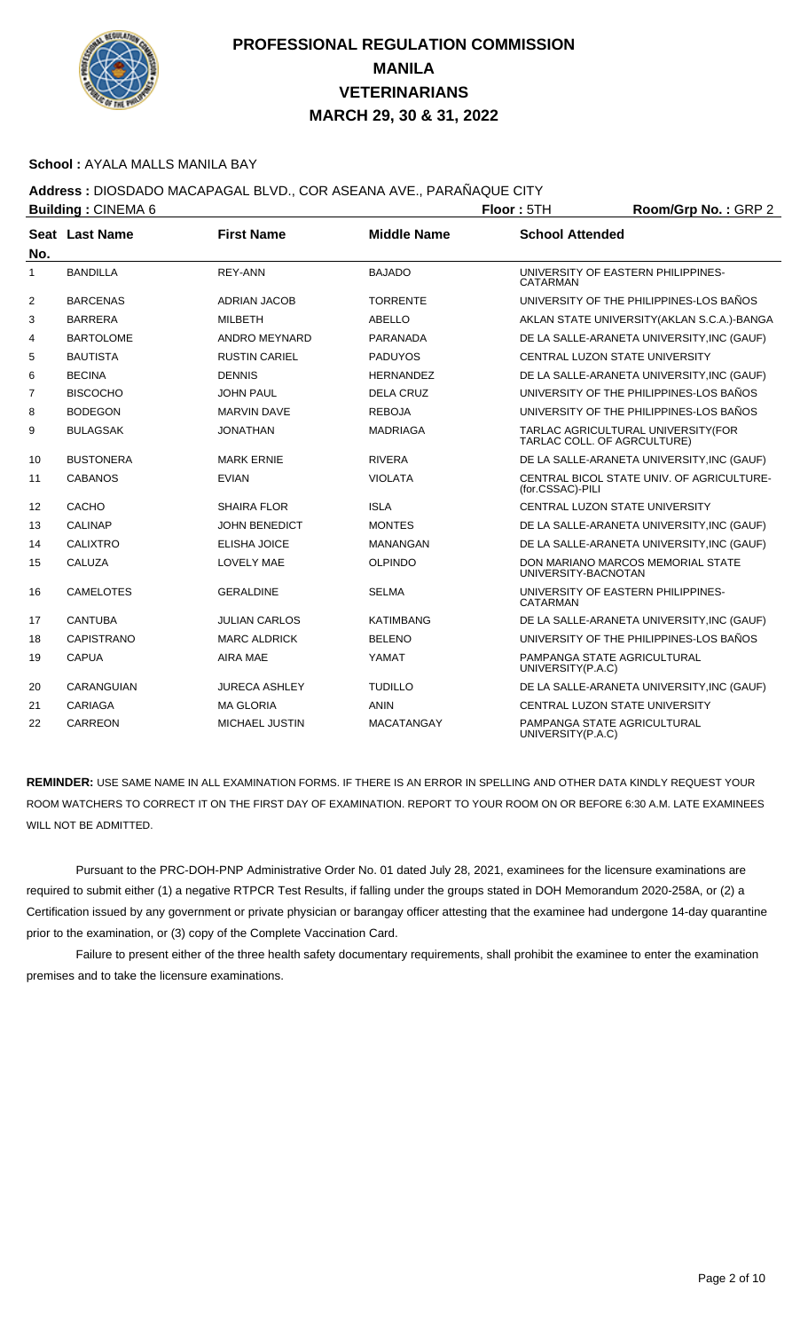

#### **School :** AYALA MALLS MANILA BAY

### **Address :** DIOSDADO MACAPAGAL BLVD., COR ASEANA AVE., PARAÑAQUE CITY

| <b>Building: CINEMA 6</b> |                   |                      |                    | Floor: 5TH             | Room/Grp No.: GRP 2                                               |
|---------------------------|-------------------|----------------------|--------------------|------------------------|-------------------------------------------------------------------|
| No.                       | Seat Last Name    | <b>First Name</b>    | <b>Middle Name</b> | <b>School Attended</b> |                                                                   |
| 1                         | <b>BANDILLA</b>   | <b>REY-ANN</b>       | <b>BAJADO</b>      | <b>CATARMAN</b>        | UNIVERSITY OF EASTERN PHILIPPINES-                                |
| 2                         | <b>BARCENAS</b>   | <b>ADRIAN JACOB</b>  | <b>TORRENTE</b>    |                        | UNIVERSITY OF THE PHILIPPINES-LOS BAÑOS                           |
| 3                         | <b>BARRERA</b>    | <b>MILBETH</b>       | <b>ABELLO</b>      |                        | AKLAN STATE UNIVERSITY (AKLAN S.C.A.)-BANGA                       |
| 4                         | <b>BARTOLOME</b>  | ANDRO MEYNARD        | PARANADA           |                        | DE LA SALLE-ARANETA UNIVERSITY, INC (GAUF)                        |
| 5                         | <b>BAUTISTA</b>   | <b>RUSTIN CARIEL</b> | <b>PADUYOS</b>     |                        | CENTRAL LUZON STATE UNIVERSITY                                    |
| 6                         | <b>BECINA</b>     | <b>DENNIS</b>        | <b>HERNANDEZ</b>   |                        | DE LA SALLE-ARANETA UNIVERSITY, INC (GAUF)                        |
| 7                         | <b>BISCOCHO</b>   | <b>JOHN PAUL</b>     | <b>DELA CRUZ</b>   |                        | UNIVERSITY OF THE PHILIPPINES-LOS BAÑOS                           |
| 8                         | <b>BODEGON</b>    | <b>MARVIN DAVE</b>   | <b>REBOJA</b>      |                        | UNIVERSITY OF THE PHILIPPINES-LOS BAÑOS                           |
| 9                         | <b>BULAGSAK</b>   | <b>JONATHAN</b>      | <b>MADRIAGA</b>    |                        | TARLAC AGRICULTURAL UNIVERSITY(FOR<br>TARLAC COLL. OF AGRCULTURE) |
| 10                        | <b>BUSTONERA</b>  | <b>MARK ERNIE</b>    | <b>RIVERA</b>      |                        | DE LA SALLE-ARANETA UNIVERSITY, INC (GAUF)                        |
| 11                        | CABANOS           | <b>EVIAN</b>         | <b>VIOLATA</b>     | (for.CSSAC)-PILI       | CENTRAL BICOL STATE UNIV. OF AGRICULTURE-                         |
| 12                        | CACHO             | <b>SHAIRA FLOR</b>   | <b>ISLA</b>        |                        | CENTRAL LUZON STATE UNIVERSITY                                    |
| 13                        | <b>CALINAP</b>    | <b>JOHN BENEDICT</b> | <b>MONTES</b>      |                        | DE LA SALLE-ARANETA UNIVERSITY, INC (GAUF)                        |
| 14                        | <b>CALIXTRO</b>   | <b>ELISHA JOICE</b>  | <b>MANANGAN</b>    |                        | DE LA SALLE-ARANETA UNIVERSITY, INC (GAUF)                        |
| 15                        | CALUZA            | <b>LOVELY MAE</b>    | <b>OLPINDO</b>     | UNIVERSITY-BACNOTAN    | DON MARIANO MARCOS MEMORIAL STATE                                 |
| 16                        | <b>CAMELOTES</b>  | <b>GERALDINE</b>     | <b>SELMA</b>       | <b>CATARMAN</b>        | UNIVERSITY OF EASTERN PHILIPPINES-                                |
| 17                        | <b>CANTUBA</b>    | <b>JULIAN CARLOS</b> | <b>KATIMBANG</b>   |                        | DE LA SALLE-ARANETA UNIVERSITY, INC (GAUF)                        |
| 18                        | <b>CAPISTRANO</b> | <b>MARC ALDRICK</b>  | <b>BELENO</b>      |                        | UNIVERSITY OF THE PHILIPPINES-LOS BAÑOS                           |
| 19                        | <b>CAPUA</b>      | <b>AIRA MAE</b>      | YAMAT              | UNIVERSITY(P.A.C)      | PAMPANGA STATE AGRICULTURAL                                       |
| 20                        | CARANGUIAN        | <b>JURECA ASHLEY</b> | <b>TUDILLO</b>     |                        | DE LA SALLE-ARANETA UNIVERSITY, INC (GAUF)                        |
| 21                        | <b>CARIAGA</b>    | <b>MA GLORIA</b>     | <b>ANIN</b>        |                        | CENTRAL LUZON STATE UNIVERSITY                                    |
| 22                        | CARREON           | MICHAEL JUSTIN       | <b>MACATANGAY</b>  | UNIVERSITY(P.A.C)      | PAMPANGA STATE AGRICULTURAL                                       |

**REMINDER:** USE SAME NAME IN ALL EXAMINATION FORMS. IF THERE IS AN ERROR IN SPELLING AND OTHER DATA KINDLY REQUEST YOUR ROOM WATCHERS TO CORRECT IT ON THE FIRST DAY OF EXAMINATION. REPORT TO YOUR ROOM ON OR BEFORE 6:30 A.M. LATE EXAMINEES WILL NOT BE ADMITTED.

 Pursuant to the PRC-DOH-PNP Administrative Order No. 01 dated July 28, 2021, examinees for the licensure examinations are required to submit either (1) a negative RTPCR Test Results, if falling under the groups stated in DOH Memorandum 2020-258A, or (2) a Certification issued by any government or private physician or barangay officer attesting that the examinee had undergone 14-day quarantine prior to the examination, or (3) copy of the Complete Vaccination Card.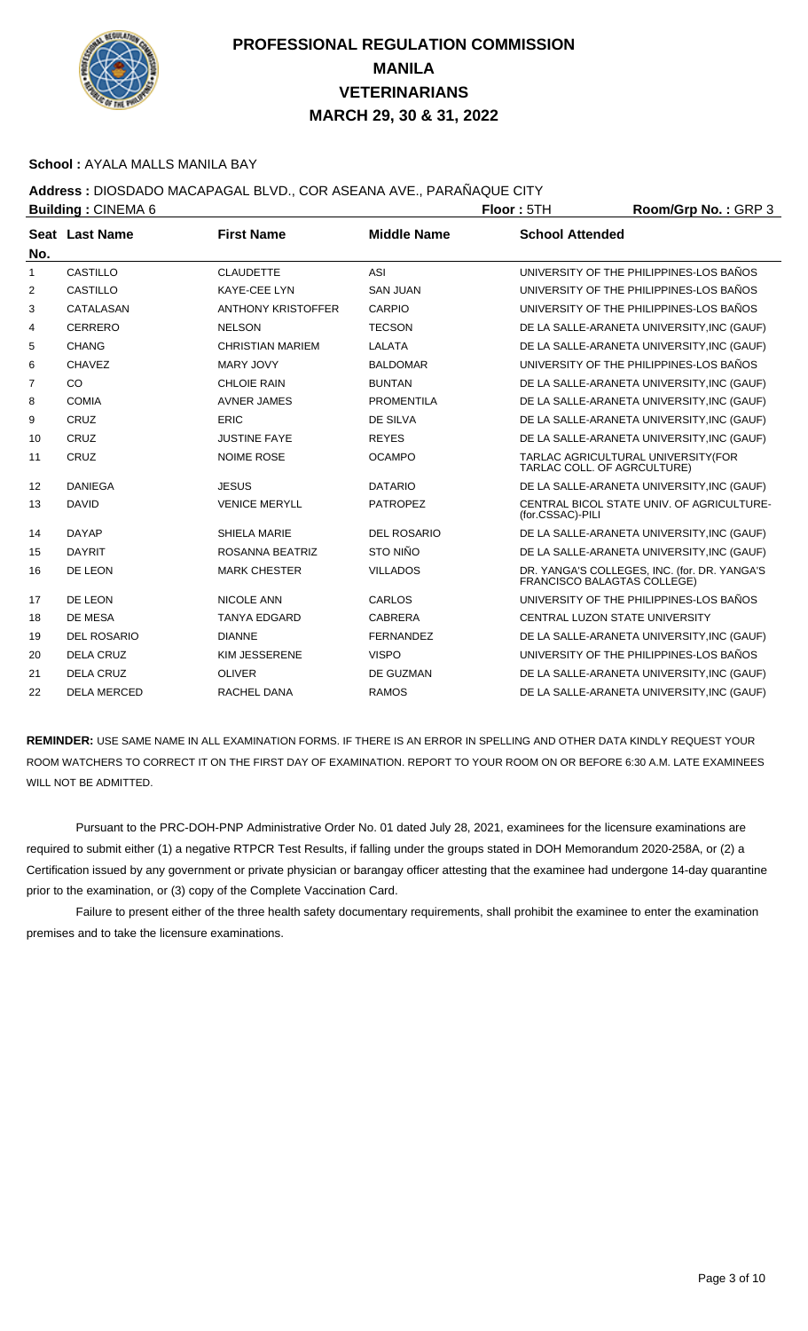

#### **School :** AYALA MALLS MANILA BAY

### **Address :** DIOSDADO MACAPAGAL BLVD., COR ASEANA AVE., PARAÑAQUE CITY

| <b>Building: CINEMA 6</b> |                    |                           |                    | Floor: 5TH                  | Room/Grp No.: GRP 3                                                                |
|---------------------------|--------------------|---------------------------|--------------------|-----------------------------|------------------------------------------------------------------------------------|
| No.                       | Seat Last Name     | <b>First Name</b>         | <b>Middle Name</b> | <b>School Attended</b>      |                                                                                    |
| 1                         | CASTILLO           | <b>CLAUDETTE</b>          | ASI                |                             | UNIVERSITY OF THE PHILIPPINES-LOS BAÑOS                                            |
| 2                         | <b>CASTILLO</b>    | <b>KAYE-CEE LYN</b>       | <b>SAN JUAN</b>    |                             | UNIVERSITY OF THE PHILIPPINES-LOS BAÑOS                                            |
| 3                         | CATALASAN          | <b>ANTHONY KRISTOFFER</b> | CARPIO             |                             | UNIVERSITY OF THE PHILIPPINES-LOS BAÑOS                                            |
| 4                         | <b>CERRERO</b>     | <b>NELSON</b>             | <b>TECSON</b>      |                             | DE LA SALLE-ARANETA UNIVERSITY, INC (GAUF)                                         |
| 5                         | <b>CHANG</b>       | <b>CHRISTIAN MARIEM</b>   | LALATA             |                             | DE LA SALLE-ARANETA UNIVERSITY, INC (GAUF)                                         |
| 6                         | <b>CHAVEZ</b>      | MARY JOVY                 | <b>BALDOMAR</b>    |                             | UNIVERSITY OF THE PHILIPPINES-LOS BAÑOS                                            |
| $\overline{7}$            | CO                 | <b>CHLOIE RAIN</b>        | <b>BUNTAN</b>      |                             | DE LA SALLE-ARANETA UNIVERSITY, INC (GAUF)                                         |
| 8                         | <b>COMIA</b>       | <b>AVNER JAMES</b>        | <b>PROMENTILA</b>  |                             | DE LA SALLE-ARANETA UNIVERSITY, INC (GAUF)                                         |
| 9                         | CRUZ               | <b>ERIC</b>               | DE SILVA           |                             | DE LA SALLE-ARANETA UNIVERSITY, INC (GAUF)                                         |
| 10                        | CRUZ               | <b>JUSTINE FAYE</b>       | <b>REYES</b>       |                             | DE LA SALLE-ARANETA UNIVERSITY, INC (GAUF)                                         |
| 11                        | CRUZ               | <b>NOIME ROSE</b>         | <b>OCAMPO</b>      | TARLAC COLL. OF AGRCULTURE) | TARLAC AGRICULTURAL UNIVERSITY(FOR                                                 |
| 12                        | <b>DANIEGA</b>     | <b>JESUS</b>              | <b>DATARIO</b>     |                             | DE LA SALLE-ARANETA UNIVERSITY, INC (GAUF)                                         |
| 13                        | <b>DAVID</b>       | <b>VENICE MERYLL</b>      | <b>PATROPEZ</b>    | (for.CSSAC)-PILI            | CENTRAL BICOL STATE UNIV. OF AGRICULTURE-                                          |
| 14                        | <b>DAYAP</b>       | <b>SHIELA MARIE</b>       | <b>DEL ROSARIO</b> |                             | DE LA SALLE-ARANETA UNIVERSITY, INC (GAUF)                                         |
| 15                        | <b>DAYRIT</b>      | ROSANNA BEATRIZ           | STO NIÑO           |                             | DE LA SALLE-ARANETA UNIVERSITY, INC (GAUF)                                         |
| 16                        | DE LEON            | <b>MARK CHESTER</b>       | <b>VILLADOS</b>    |                             | DR. YANGA'S COLLEGES, INC. (for. DR. YANGA'S<br><b>FRANCISCO BALAGTAS COLLEGE)</b> |
| 17                        | DE LEON            | <b>NICOLE ANN</b>         | CARLOS             |                             | UNIVERSITY OF THE PHILIPPINES-LOS BAÑOS                                            |
| 18                        | DE MESA            | <b>TANYA EDGARD</b>       | <b>CABRERA</b>     |                             | CENTRAL LUZON STATE UNIVERSITY                                                     |
| 19                        | DEL ROSARIO        | <b>DIANNE</b>             | <b>FERNANDEZ</b>   |                             | DE LA SALLE-ARANETA UNIVERSITY, INC (GAUF)                                         |
| 20                        | <b>DELA CRUZ</b>   | <b>KIM JESSERENE</b>      | <b>VISPO</b>       |                             | UNIVERSITY OF THE PHILIPPINES-LOS BAÑOS                                            |
| 21                        | <b>DELA CRUZ</b>   | <b>OLIVER</b>             | DE GUZMAN          |                             | DE LA SALLE-ARANETA UNIVERSITY, INC (GAUF)                                         |
| 22                        | <b>DELA MERCED</b> | RACHEL DANA               | <b>RAMOS</b>       |                             | DE LA SALLE-ARANETA UNIVERSITY, INC (GAUF)                                         |

**REMINDER:** USE SAME NAME IN ALL EXAMINATION FORMS. IF THERE IS AN ERROR IN SPELLING AND OTHER DATA KINDLY REQUEST YOUR ROOM WATCHERS TO CORRECT IT ON THE FIRST DAY OF EXAMINATION. REPORT TO YOUR ROOM ON OR BEFORE 6:30 A.M. LATE EXAMINEES WILL NOT BE ADMITTED.

 Pursuant to the PRC-DOH-PNP Administrative Order No. 01 dated July 28, 2021, examinees for the licensure examinations are required to submit either (1) a negative RTPCR Test Results, if falling under the groups stated in DOH Memorandum 2020-258A, or (2) a Certification issued by any government or private physician or barangay officer attesting that the examinee had undergone 14-day quarantine prior to the examination, or (3) copy of the Complete Vaccination Card.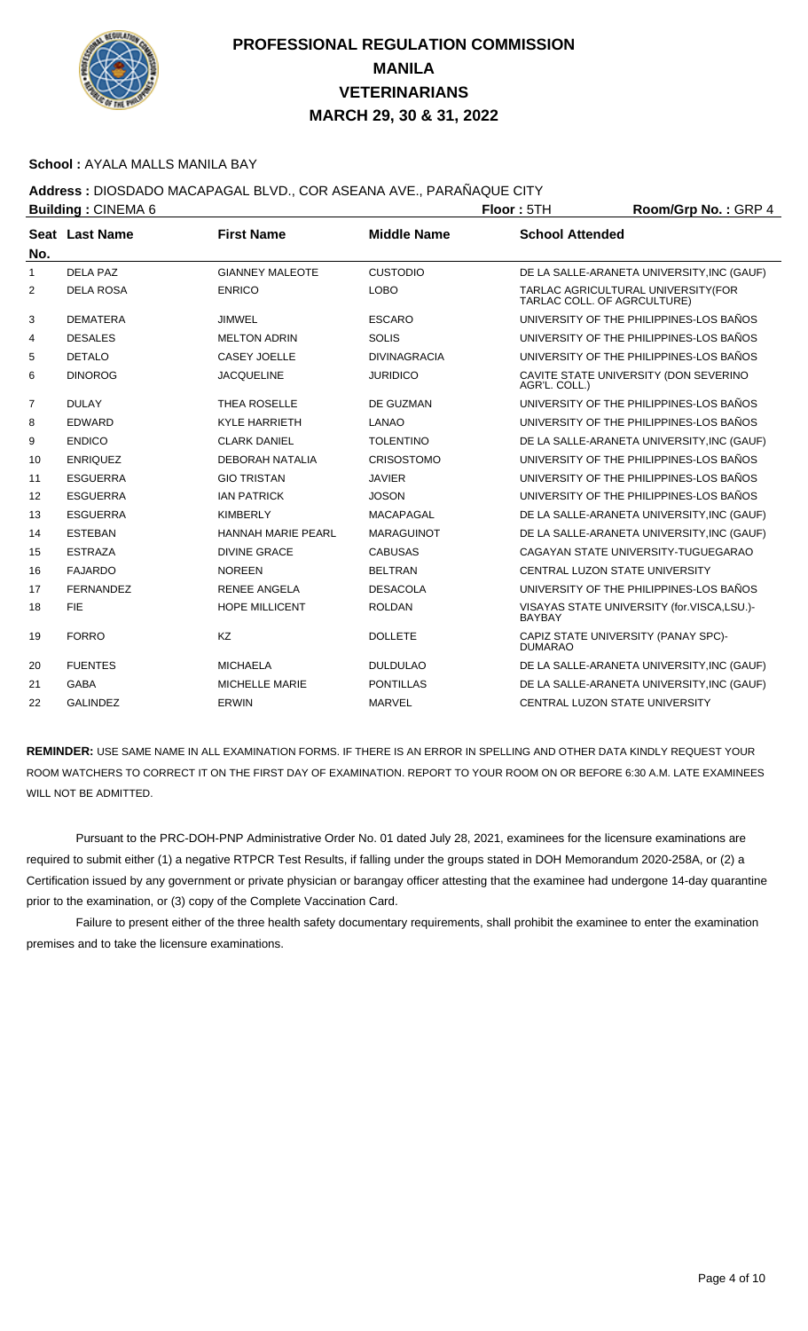

#### **School :** AYALA MALLS MANILA BAY

### **Address :** DIOSDADO MACAPAGAL BLVD., COR ASEANA AVE., PARAÑAQUE CITY

|                | <b>Building: CINEMA 6</b> |                           | Floor: 5TH          | Room/Grp No.: GRP 4         |                                            |
|----------------|---------------------------|---------------------------|---------------------|-----------------------------|--------------------------------------------|
|                | Seat Last Name            | <b>First Name</b>         | <b>Middle Name</b>  | <b>School Attended</b>      |                                            |
| No.            |                           |                           |                     |                             |                                            |
| $\mathbf{1}$   | DFI A PAZ                 | <b>GIANNEY MALEOTE</b>    | <b>CUSTODIO</b>     |                             | DE LA SALLE-ARANETA UNIVERSITY, INC (GAUF) |
| 2              | <b>DELA ROSA</b>          | <b>ENRICO</b>             | <b>LOBO</b>         | TARLAC COLL. OF AGRCULTURE) | TARLAC AGRICULTURAL UNIVERSITY(FOR         |
| 3              | <b>DEMATERA</b>           | <b>JIMWEL</b>             | <b>ESCARO</b>       |                             | UNIVERSITY OF THE PHILIPPINES-LOS BAÑOS    |
| 4              | <b>DESALES</b>            | <b>MELTON ADRIN</b>       | <b>SOLIS</b>        |                             | UNIVERSITY OF THE PHILIPPINES-LOS BAÑOS    |
| 5              | <b>DETALO</b>             | CASEY JOELLE              | <b>DIVINAGRACIA</b> |                             | UNIVERSITY OF THE PHILIPPINES-LOS BAÑOS    |
| 6              | <b>DINOROG</b>            | <b>JACQUELINE</b>         | <b>JURIDICO</b>     | AGR'L. COLL.)               | CAVITE STATE UNIVERSITY (DON SEVERINO      |
| $\overline{7}$ | <b>DULAY</b>              | <b>THEA ROSELLE</b>       | DE GUZMAN           |                             | UNIVERSITY OF THE PHILIPPINES-LOS BAÑOS    |
| 8              | <b>EDWARD</b>             | <b>KYLE HARRIETH</b>      | <b>LANAO</b>        |                             | UNIVERSITY OF THE PHILIPPINES-LOS BAÑOS    |
| 9              | <b>ENDICO</b>             | <b>CLARK DANIEL</b>       | <b>TOLENTINO</b>    |                             | DE LA SALLE-ARANETA UNIVERSITY, INC (GAUF) |
| 10             | <b>ENRIQUEZ</b>           | <b>DEBORAH NATALIA</b>    | CRISOSTOMO          |                             | UNIVERSITY OF THE PHILIPPINES-LOS BAÑOS    |
| 11             | <b>ESGUERRA</b>           | <b>GIO TRISTAN</b>        | <b>JAVIER</b>       |                             | UNIVERSITY OF THE PHILIPPINES-LOS BAÑOS    |
| 12             | <b>ESGUERRA</b>           | <b>IAN PATRICK</b>        | <b>JOSON</b>        |                             | UNIVERSITY OF THE PHILIPPINES-LOS BAÑOS    |
| 13             | <b>ESGUERRA</b>           | <b>KIMBERLY</b>           | <b>MACAPAGAL</b>    |                             | DE LA SALLE-ARANETA UNIVERSITY, INC (GAUF) |
| 14             | <b>ESTEBAN</b>            | <b>HANNAH MARIE PEARL</b> | <b>MARAGUINOT</b>   |                             | DE LA SALLE-ARANETA UNIVERSITY, INC (GAUF) |
| 15             | <b>ESTRAZA</b>            | <b>DIVINE GRACE</b>       | <b>CABUSAS</b>      |                             | CAGAYAN STATE UNIVERSITY-TUGUEGARAO        |
| 16             | <b>FAJARDO</b>            | <b>NOREEN</b>             | <b>BELTRAN</b>      |                             | CENTRAL LUZON STATE UNIVERSITY             |
| 17             | <b>FERNANDEZ</b>          | <b>RENEE ANGELA</b>       | <b>DESACOLA</b>     |                             | UNIVERSITY OF THE PHILIPPINES-LOS BAÑOS    |
| 18             | <b>FIE</b>                | <b>HOPE MILLICENT</b>     | <b>ROLDAN</b>       | <b>BAYBAY</b>               | VISAYAS STATE UNIVERSITY (for.VISCA,LSU.)- |
| 19             | <b>FORRO</b>              | KZ                        | <b>DOLLETE</b>      | <b>DUMARAO</b>              | CAPIZ STATE UNIVERSITY (PANAY SPC)-        |
| 20             | <b>FUENTES</b>            | <b>MICHAELA</b>           | <b>DULDULAO</b>     |                             | DE LA SALLE-ARANETA UNIVERSITY, INC (GAUF) |
| 21             | <b>GABA</b>               | <b>MICHELLE MARIE</b>     | <b>PONTILLAS</b>    |                             | DE LA SALLE-ARANETA UNIVERSITY, INC (GAUF) |
| 22             | <b>GALINDEZ</b>           | ERWIN                     | <b>MARVEL</b>       |                             | CENTRAL LUZON STATE UNIVERSITY             |

**REMINDER:** USE SAME NAME IN ALL EXAMINATION FORMS. IF THERE IS AN ERROR IN SPELLING AND OTHER DATA KINDLY REQUEST YOUR ROOM WATCHERS TO CORRECT IT ON THE FIRST DAY OF EXAMINATION. REPORT TO YOUR ROOM ON OR BEFORE 6:30 A.M. LATE EXAMINEES WILL NOT BE ADMITTED.

 Pursuant to the PRC-DOH-PNP Administrative Order No. 01 dated July 28, 2021, examinees for the licensure examinations are required to submit either (1) a negative RTPCR Test Results, if falling under the groups stated in DOH Memorandum 2020-258A, or (2) a Certification issued by any government or private physician or barangay officer attesting that the examinee had undergone 14-day quarantine prior to the examination, or (3) copy of the Complete Vaccination Card.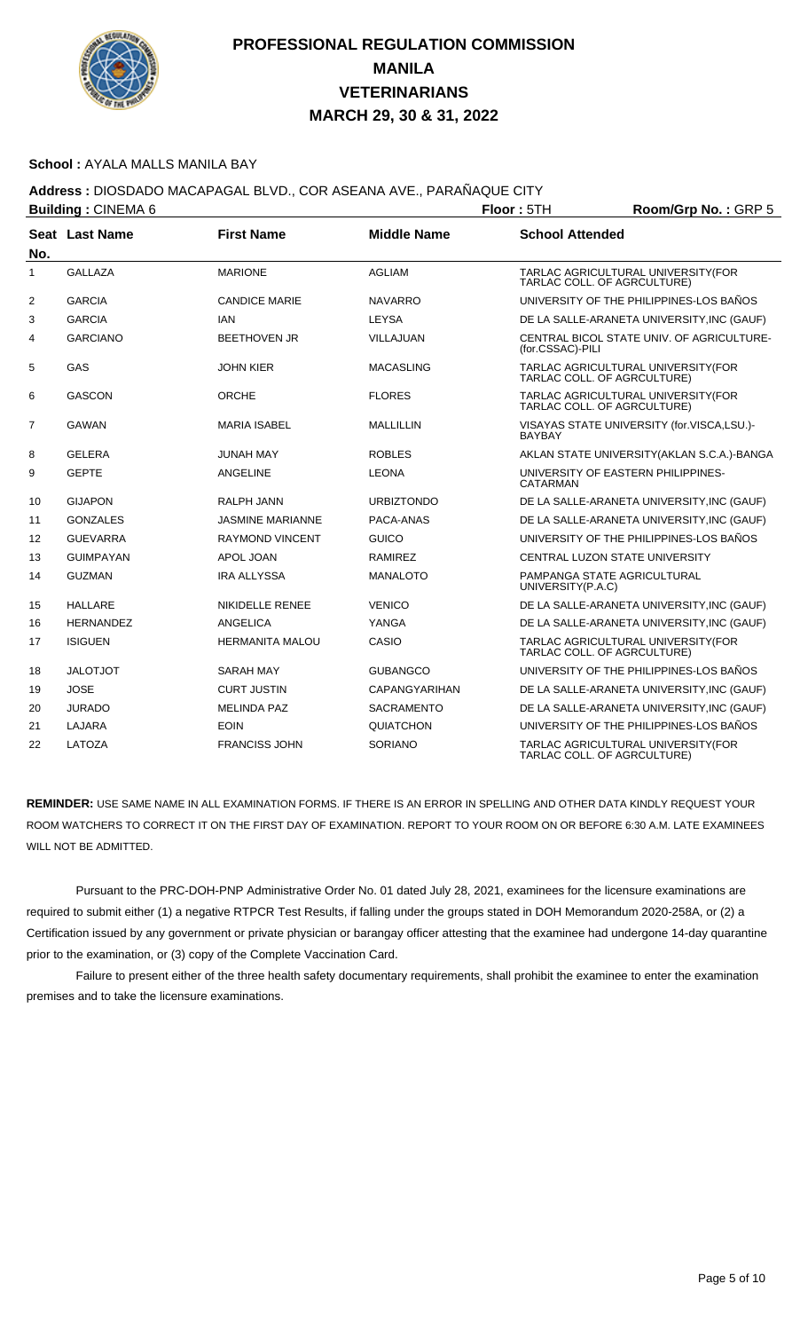

#### **School :** AYALA MALLS MANILA BAY

### **Address :** DIOSDADO MACAPAGAL BLVD., COR ASEANA AVE., PARAÑAQUE CITY

| <b>Building: CINEMA 6</b> |                       |                         |                      | Floor: 5TH             | Room/Grp No.: GRP 5                                               |
|---------------------------|-----------------------|-------------------------|----------------------|------------------------|-------------------------------------------------------------------|
| No.                       | <b>Seat Last Name</b> | <b>First Name</b>       | <b>Middle Name</b>   | <b>School Attended</b> |                                                                   |
| 1                         | <b>GALLAZA</b>        | <b>MARIONE</b>          | <b>AGLIAM</b>        |                        | TARLAC AGRICULTURAL UNIVERSITY(FOR<br>TARLAC COLL. OF AGRCULTURE) |
| 2                         | <b>GARCIA</b>         | <b>CANDICE MARIE</b>    | <b>NAVARRO</b>       |                        | UNIVERSITY OF THE PHILIPPINES-LOS BAÑOS                           |
| 3                         | <b>GARCIA</b>         | <b>IAN</b>              | <b>LEYSA</b>         |                        | DE LA SALLE-ARANETA UNIVERSITY, INC (GAUF)                        |
| 4                         | <b>GARCIANO</b>       | <b>BEETHOVEN JR</b>     | <b>VILLAJUAN</b>     | (for.CSSAC)-PILI       | CENTRAL BICOL STATE UNIV. OF AGRICULTURE-                         |
| 5                         | GAS                   | <b>JOHN KIER</b>        | <b>MACASLING</b>     |                        | TARLAC AGRICULTURAL UNIVERSITY(FOR<br>TARLAC COLL. OF AGRCULTURE) |
| 6                         | <b>GASCON</b>         | <b>ORCHE</b>            | <b>FLORES</b>        |                        | TARLAC AGRICULTURAL UNIVERSITY(FOR<br>TARLAC COLL. OF AGRCULTURE) |
| $\overline{7}$            | <b>GAWAN</b>          | <b>MARIA ISABEL</b>     | MALLILLIN            | <b>BAYBAY</b>          | VISAYAS STATE UNIVERSITY (for.VISCA,LSU.)-                        |
| 8                         | <b>GELERA</b>         | <b>JUNAH MAY</b>        | <b>ROBLES</b>        |                        | AKLAN STATE UNIVERSITY (AKLAN S.C.A.)-BANGA                       |
| 9                         | <b>GEPTE</b>          | <b>ANGELINE</b>         | <b>LEONA</b>         | CATARMAN               | UNIVERSITY OF EASTERN PHILIPPINES-                                |
| 10                        | <b>GIJAPON</b>        | <b>RALPH JANN</b>       | <b>URBIZTONDO</b>    |                        | DE LA SALLE-ARANETA UNIVERSITY, INC (GAUF)                        |
| 11                        | <b>GONZALES</b>       | <b>JASMINE MARIANNE</b> | PACA-ANAS            |                        | DE LA SALLE-ARANETA UNIVERSITY, INC (GAUF)                        |
| 12                        | <b>GUEVARRA</b>       | <b>RAYMOND VINCENT</b>  | <b>GUICO</b>         |                        | UNIVERSITY OF THE PHILIPPINES-LOS BANOS                           |
| 13                        | <b>GUIMPAYAN</b>      | APOL JOAN               | <b>RAMIREZ</b>       |                        | CENTRAL LUZON STATE UNIVERSITY                                    |
| 14                        | <b>GUZMAN</b>         | <b>IRA ALLYSSA</b>      | <b>MANALOTO</b>      | UNIVERSITY(P.A.C)      | PAMPANGA STATE AGRICULTURAL                                       |
| 15                        | <b>HALLARE</b>        | NIKIDELLE RENEE         | <b>VENICO</b>        |                        | DE LA SALLE-ARANETA UNIVERSITY, INC (GAUF)                        |
| 16                        | <b>HERNANDEZ</b>      | ANGELICA                | YANGA                |                        | DE LA SALLE-ARANETA UNIVERSITY, INC (GAUF)                        |
| 17                        | <b>ISIGUEN</b>        | <b>HERMANITA MALOU</b>  | CASIO                |                        | TARLAC AGRICULTURAL UNIVERSITY(FOR<br>TARLAC COLL. OF AGRCULTURE) |
| 18                        | <b>JALOTJOT</b>       | <b>SARAH MAY</b>        | <b>GUBANGCO</b>      |                        | UNIVERSITY OF THE PHILIPPINES-LOS BAÑOS                           |
| 19                        | <b>JOSE</b>           | <b>CURT JUSTIN</b>      | <b>CAPANGYARIHAN</b> |                        | DE LA SALLE-ARANETA UNIVERSITY, INC (GAUF)                        |
| 20                        | <b>JURADO</b>         | <b>MELINDA PAZ</b>      | <b>SACRAMENTO</b>    |                        | DE LA SALLE-ARANETA UNIVERSITY, INC (GAUF)                        |
| 21                        | <b>LAJARA</b>         | <b>EOIN</b>             | QUIATCHON            |                        | UNIVERSITY OF THE PHILIPPINES-LOS BAÑOS                           |
| 22                        | LATOZA                | <b>FRANCISS JOHN</b>    | <b>SORIANO</b>       |                        | TARLAC AGRICULTURAL UNIVERSITY(FOR<br>TARLAC COLL. OF AGRCULTURE) |

**REMINDER:** USE SAME NAME IN ALL EXAMINATION FORMS. IF THERE IS AN ERROR IN SPELLING AND OTHER DATA KINDLY REQUEST YOUR ROOM WATCHERS TO CORRECT IT ON THE FIRST DAY OF EXAMINATION. REPORT TO YOUR ROOM ON OR BEFORE 6:30 A.M. LATE EXAMINEES WILL NOT BE ADMITTED.

 Pursuant to the PRC-DOH-PNP Administrative Order No. 01 dated July 28, 2021, examinees for the licensure examinations are required to submit either (1) a negative RTPCR Test Results, if falling under the groups stated in DOH Memorandum 2020-258A, or (2) a Certification issued by any government or private physician or barangay officer attesting that the examinee had undergone 14-day quarantine prior to the examination, or (3) copy of the Complete Vaccination Card.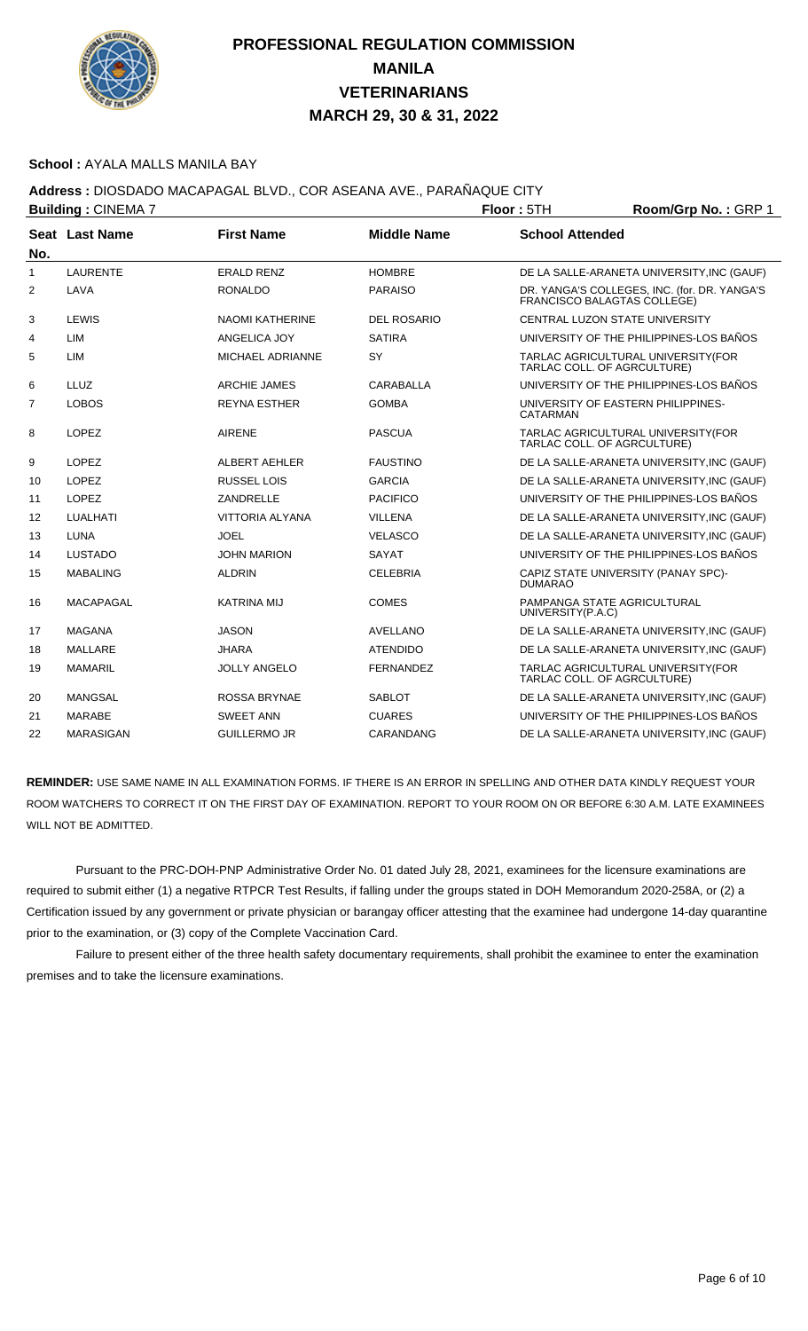

#### **School :** AYALA MALLS MANILA BAY

### **Address :** DIOSDADO MACAPAGAL BLVD., COR ASEANA AVE., PARAÑAQUE CITY

|                | <b>Building: CINEMA 7</b> |                         | Floor: 5TH         | Room/Grp No.: GRP 1    |                                                                             |
|----------------|---------------------------|-------------------------|--------------------|------------------------|-----------------------------------------------------------------------------|
| No.            | Seat Last Name            | <b>First Name</b>       | <b>Middle Name</b> | <b>School Attended</b> |                                                                             |
| $\mathbf{1}$   | <b>LAURENTE</b>           | <b>ERALD RENZ</b>       | <b>HOMBRE</b>      |                        | DE LA SALLE-ARANETA UNIVERSITY, INC (GAUF)                                  |
| 2              | LAVA                      | <b>RONALDO</b>          | <b>PARAISO</b>     |                        | DR. YANGA'S COLLEGES, INC. (for. DR. YANGA'S<br>FRANCISCO BALAGTAS COLLEGE) |
| 3              | LEWIS                     | <b>NAOMI KATHERINE</b>  | <b>DEL ROSARIO</b> |                        | CENTRAL LUZON STATE UNIVERSITY                                              |
| 4              | LIM                       | ANGELICA JOY            | <b>SATIRA</b>      |                        | UNIVERSITY OF THE PHILIPPINES-LOS BAÑOS                                     |
| 5              | LIM                       | <b>MICHAEL ADRIANNE</b> | SY                 |                        | TARLAC AGRICULTURAL UNIVERSITY(FOR<br>TARLAC COLL. OF AGRCULTURE)           |
| 6              | LLUZ                      | <b>ARCHIE JAMES</b>     | <b>CARABALLA</b>   |                        | UNIVERSITY OF THE PHILIPPINES-LOS BAÑOS                                     |
| $\overline{7}$ | <b>LOBOS</b>              | <b>REYNA ESTHER</b>     | <b>GOMBA</b>       | <b>CATARMAN</b>        | UNIVERSITY OF EASTERN PHILIPPINES-                                          |
| 8              | <b>LOPEZ</b>              | <b>AIRENE</b>           | <b>PASCUA</b>      |                        | TARLAC AGRICULTURAL UNIVERSITY(FOR<br>TARLAC COLL. OF AGRCULTURE)           |
| 9              | <b>LOPEZ</b>              | <b>ALBERT AEHLER</b>    | <b>FAUSTINO</b>    |                        | DE LA SALLE-ARANETA UNIVERSITY, INC (GAUF)                                  |
| 10             | <b>LOPEZ</b>              | RUSSEL LOIS             | <b>GARCIA</b>      |                        | DE LA SALLE-ARANETA UNIVERSITY, INC (GAUF)                                  |
| 11             | <b>LOPEZ</b>              | ZANDRELLE               | <b>PACIFICO</b>    |                        | UNIVERSITY OF THE PHILIPPINES-LOS BAÑOS                                     |
| 12             | LUALHATI                  | VITTORIA ALYANA         | <b>VILLENA</b>     |                        | DE LA SALLE-ARANETA UNIVERSITY, INC (GAUF)                                  |
| 13             | <b>LUNA</b>               | <b>JOEL</b>             | <b>VELASCO</b>     |                        | DE LA SALLE-ARANETA UNIVERSITY, INC (GAUF)                                  |
| 14             | <b>LUSTADO</b>            | <b>JOHN MARION</b>      | <b>SAYAT</b>       |                        | UNIVERSITY OF THE PHILIPPINES-LOS BAÑOS                                     |
| 15             | <b>MABALING</b>           | <b>ALDRIN</b>           | <b>CELEBRIA</b>    | <b>DUMARAO</b>         | CAPIZ STATE UNIVERSITY (PANAY SPC)-                                         |
| 16             | <b>MACAPAGAL</b>          | <b>KATRINA MIJ</b>      | <b>COMES</b>       | UNIVERSITY(P.A.C)      | PAMPANGA STATE AGRICULTURAL                                                 |
| 17             | <b>MAGANA</b>             | <b>JASON</b>            | AVELLANO           |                        | DE LA SALLE-ARANETA UNIVERSITY, INC (GAUF)                                  |
| 18             | <b>MALLARE</b>            | <b>JHARA</b>            | <b>ATENDIDO</b>    |                        | DE LA SALLE-ARANETA UNIVERSITY, INC (GAUF)                                  |
| 19             | <b>MAMARIL</b>            | <b>JOLLY ANGELO</b>     | <b>FERNANDEZ</b>   |                        | TARLAC AGRICULTURAL UNIVERSITY(FOR<br>TARLAC COLL. OF AGRCULTURE)           |
| 20             | <b>MANGSAL</b>            | <b>ROSSA BRYNAE</b>     | <b>SABLOT</b>      |                        | DE LA SALLE-ARANETA UNIVERSITY, INC (GAUF)                                  |
| 21             | <b>MARABE</b>             | <b>SWEET ANN</b>        | <b>CUARES</b>      |                        | UNIVERSITY OF THE PHILIPPINES-LOS BAÑOS                                     |
| 22             | <b>MARASIGAN</b>          | <b>GUILLERMO JR</b>     | CARANDANG          |                        | DE LA SALLE-ARANETA UNIVERSITY, INC (GAUF)                                  |

**REMINDER:** USE SAME NAME IN ALL EXAMINATION FORMS. IF THERE IS AN ERROR IN SPELLING AND OTHER DATA KINDLY REQUEST YOUR ROOM WATCHERS TO CORRECT IT ON THE FIRST DAY OF EXAMINATION. REPORT TO YOUR ROOM ON OR BEFORE 6:30 A.M. LATE EXAMINEES WILL NOT BE ADMITTED.

 Pursuant to the PRC-DOH-PNP Administrative Order No. 01 dated July 28, 2021, examinees for the licensure examinations are required to submit either (1) a negative RTPCR Test Results, if falling under the groups stated in DOH Memorandum 2020-258A, or (2) a Certification issued by any government or private physician or barangay officer attesting that the examinee had undergone 14-day quarantine prior to the examination, or (3) copy of the Complete Vaccination Card.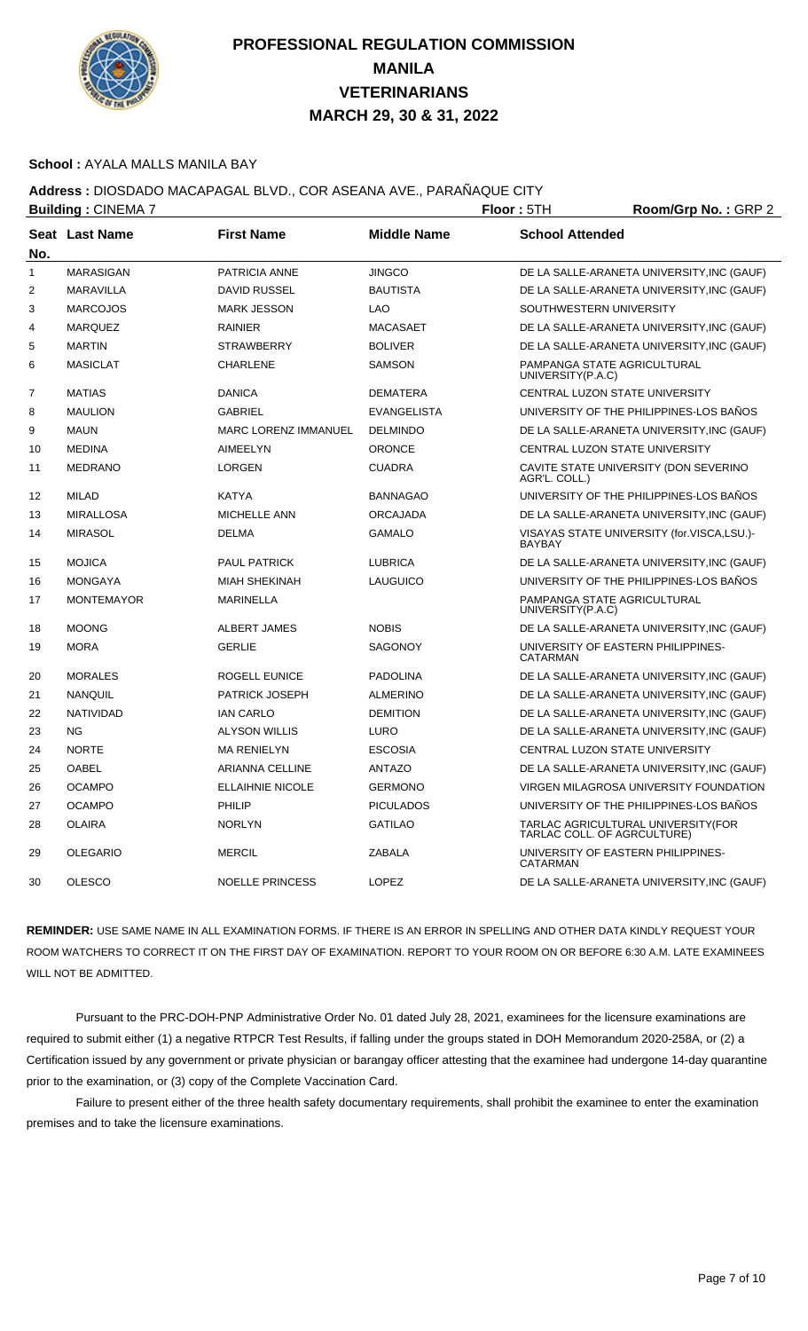

#### **School :** AYALA MALLS MANILA BAY

### **Address :** DIOSDADO MACAPAGAL BLVD., COR ASEANA AVE., PARAÑAQUE CITY

|                | <b>Building: CINEMA 7</b> |                             |                    | Floor: 5TH<br>Room/Grp No.: GRP 2                                 |  |
|----------------|---------------------------|-----------------------------|--------------------|-------------------------------------------------------------------|--|
| No.            | Seat Last Name            | <b>First Name</b>           | <b>Middle Name</b> | <b>School Attended</b>                                            |  |
| $\mathbf{1}$   | <b>MARASIGAN</b>          | PATRICIA ANNE               | <b>JINGCO</b>      | DE LA SALLE-ARANETA UNIVERSITY, INC (GAUF)                        |  |
| $\overline{2}$ | <b>MARAVILLA</b>          | <b>DAVID RUSSEL</b>         | <b>BAUTISTA</b>    | DE LA SALLE-ARANETA UNIVERSITY, INC (GAUF)                        |  |
| 3              | <b>MARCOJOS</b>           | <b>MARK JESSON</b>          | <b>LAO</b>         | SOUTHWESTERN UNIVERSITY                                           |  |
| 4              | <b>MARQUEZ</b>            | <b>RAINIER</b>              | <b>MACASAET</b>    | DE LA SALLE-ARANETA UNIVERSITY, INC (GAUF)                        |  |
| 5              | <b>MARTIN</b>             | <b>STRAWBERRY</b>           | <b>BOLIVER</b>     | DE LA SALLE-ARANETA UNIVERSITY, INC (GAUF)                        |  |
| 6              | <b>MASICLAT</b>           | <b>CHARLENE</b>             | <b>SAMSON</b>      | PAMPANGA STATE AGRICULTURAL<br>UNIVERSITY(P.A.C)                  |  |
| 7              | <b>MATIAS</b>             | <b>DANICA</b>               | <b>DEMATERA</b>    | CENTRAL LUZON STATE UNIVERSITY                                    |  |
| 8              | <b>MAULION</b>            | <b>GABRIEL</b>              | <b>EVANGELISTA</b> | UNIVERSITY OF THE PHILIPPINES-LOS BAÑOS                           |  |
| 9              | <b>MAUN</b>               | <b>MARC LORENZ IMMANUEL</b> | <b>DELMINDO</b>    | DE LA SALLE-ARANETA UNIVERSITY, INC (GAUF)                        |  |
| 10             | <b>MEDINA</b>             | <b>AIMEELYN</b>             | <b>ORONCE</b>      | CENTRAL LUZON STATE UNIVERSITY                                    |  |
| 11             | <b>MEDRANO</b>            | <b>LORGEN</b>               | <b>CUADRA</b>      | CAVITE STATE UNIVERSITY (DON SEVERINO<br>AGR'L. COLL.)            |  |
| 12             | <b>MILAD</b>              | <b>KATYA</b>                | <b>BANNAGAO</b>    | UNIVERSITY OF THE PHILIPPINES-LOS BAÑOS                           |  |
| 13             | <b>MIRALLOSA</b>          | <b>MICHELLE ANN</b>         | <b>ORCAJADA</b>    | DE LA SALLE-ARANETA UNIVERSITY, INC (GAUF)                        |  |
| 14             | <b>MIRASOL</b>            | <b>DELMA</b>                | <b>GAMALO</b>      | VISAYAS STATE UNIVERSITY (for.VISCA,LSU.)-<br><b>BAYBAY</b>       |  |
| 15             | <b>MOJICA</b>             | <b>PAUL PATRICK</b>         | <b>LUBRICA</b>     | DE LA SALLE-ARANETA UNIVERSITY, INC (GAUF)                        |  |
| 16             | <b>MONGAYA</b>            | <b>MIAH SHEKINAH</b>        | LAUGUICO           | UNIVERSITY OF THE PHILIPPINES-LOS BAÑOS                           |  |
| 17             | <b>MONTEMAYOR</b>         | <b>MARINELLA</b>            |                    | PAMPANGA STATE AGRICULTURAL<br>UNIVERSITY(P.A.C)                  |  |
| 18             | <b>MOONG</b>              | <b>ALBERT JAMES</b>         | <b>NOBIS</b>       | DE LA SALLE-ARANETA UNIVERSITY, INC (GAUF)                        |  |
| 19             | <b>MORA</b>               | <b>GERLIE</b>               | <b>SAGONOY</b>     | UNIVERSITY OF EASTERN PHILIPPINES-<br>CATARMAN                    |  |
| 20             | <b>MORALES</b>            | <b>ROGELL EUNICE</b>        | <b>PADOLINA</b>    | DE LA SALLE-ARANETA UNIVERSITY, INC (GAUF)                        |  |
| 21             | <b>NANQUIL</b>            | <b>PATRICK JOSEPH</b>       | <b>ALMERINO</b>    | DE LA SALLE-ARANETA UNIVERSITY, INC (GAUF)                        |  |
| 22             | <b>NATIVIDAD</b>          | <b>IAN CARLO</b>            | <b>DEMITION</b>    | DE LA SALLE-ARANETA UNIVERSITY, INC (GAUF)                        |  |
| 23             | ΝG                        | <b>ALYSON WILLIS</b>        | <b>LURO</b>        | DE LA SALLE-ARANETA UNIVERSITY, INC (GAUF)                        |  |
| 24             | <b>NORTE</b>              | <b>MA RENIELYN</b>          | <b>ESCOSIA</b>     | CENTRAL LUZON STATE UNIVERSITY                                    |  |
| 25             | <b>OABEL</b>              | <b>ARIANNA CELLINE</b>      | <b>ANTAZO</b>      | DE LA SALLE-ARANETA UNIVERSITY, INC (GAUF)                        |  |
| 26             | <b>OCAMPO</b>             | <b>ELLAIHNIE NICOLE</b>     | <b>GERMONO</b>     | VIRGEN MILAGROSA UNIVERSITY FOUNDATION                            |  |
| 27             | <b>OCAMPO</b>             | PHILIP                      | <b>PICULADOS</b>   | UNIVERSITY OF THE PHILIPPINES-LOS BAÑOS                           |  |
| 28             | <b>OLAIRA</b>             | <b>NORLYN</b>               | <b>GATILAO</b>     | TARLAC AGRICULTURAL UNIVERSITY(FOR<br>TARLAC COLL. OF AGRCULTURE) |  |
| 29             | <b>OLEGARIO</b>           | <b>MERCIL</b>               | <b>ZABALA</b>      | UNIVERSITY OF EASTERN PHILIPPINES-<br>CATARMAN                    |  |
| 30             | <b>OLESCO</b>             | <b>NOELLE PRINCESS</b>      | LOPEZ              | DE LA SALLE-ARANETA UNIVERSITY, INC (GAUF)                        |  |

**REMINDER:** USE SAME NAME IN ALL EXAMINATION FORMS. IF THERE IS AN ERROR IN SPELLING AND OTHER DATA KINDLY REQUEST YOUR ROOM WATCHERS TO CORRECT IT ON THE FIRST DAY OF EXAMINATION. REPORT TO YOUR ROOM ON OR BEFORE 6:30 A.M. LATE EXAMINEES WILL NOT BE ADMITTED.

 Pursuant to the PRC-DOH-PNP Administrative Order No. 01 dated July 28, 2021, examinees for the licensure examinations are required to submit either (1) a negative RTPCR Test Results, if falling under the groups stated in DOH Memorandum 2020-258A, or (2) a Certification issued by any government or private physician or barangay officer attesting that the examinee had undergone 14-day quarantine prior to the examination, or (3) copy of the Complete Vaccination Card.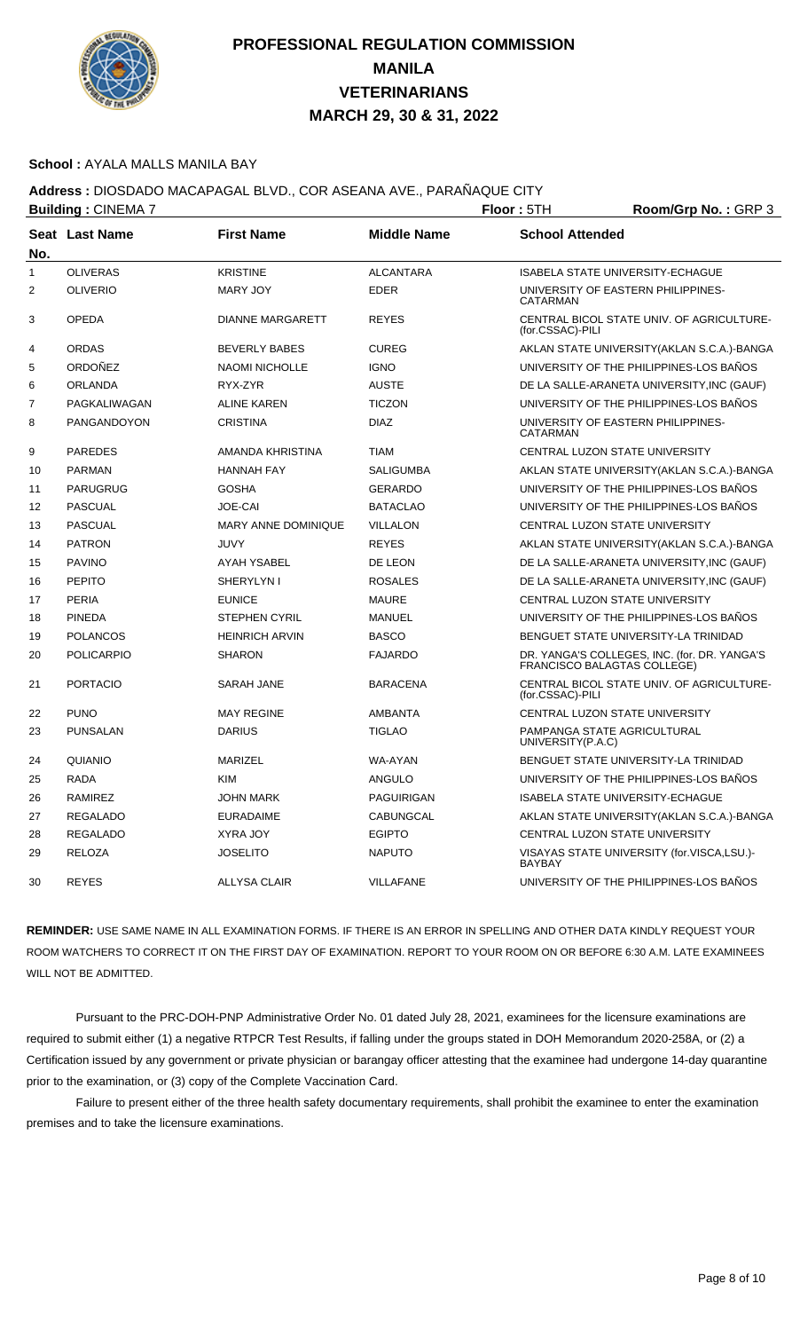

#### **School :** AYALA MALLS MANILA BAY

### **Address :** DIOSDADO MACAPAGAL BLVD., COR ASEANA AVE., PARAÑAQUE CITY

| <b>Building: CINEMA 7</b> |                       |                            | Floor: 5TH         | Room/Grp No.: GRP 3    |                                                                             |
|---------------------------|-----------------------|----------------------------|--------------------|------------------------|-----------------------------------------------------------------------------|
| No.                       | <b>Seat Last Name</b> | <b>First Name</b>          | <b>Middle Name</b> | <b>School Attended</b> |                                                                             |
| $\mathbf{1}$              | <b>OLIVERAS</b>       | <b>KRISTINE</b>            | <b>ALCANTARA</b>   |                        | <b>ISABELA STATE UNIVERSITY-ECHAGUE</b>                                     |
| $\overline{2}$            | <b>OLIVERIO</b>       | <b>MARY JOY</b>            | <b>EDER</b>        | <b>CATARMAN</b>        | UNIVERSITY OF EASTERN PHILIPPINES-                                          |
| 3                         | <b>OPEDA</b>          | <b>DIANNE MARGARETT</b>    | <b>REYES</b>       | (for.CSSAC)-PILI       | CENTRAL BICOL STATE UNIV. OF AGRICULTURE-                                   |
| 4                         | <b>ORDAS</b>          | <b>BEVERLY BABES</b>       | <b>CUREG</b>       |                        | AKLAN STATE UNIVERSITY (AKLAN S.C.A.)-BANGA                                 |
| 5                         | ORDOÑEZ               | <b>NAOMI NICHOLLE</b>      | <b>IGNO</b>        |                        | UNIVERSITY OF THE PHILIPPINES-LOS BANOS                                     |
| 6                         | ORLANDA               | RYX-ZYR                    | <b>AUSTE</b>       |                        | DE LA SALLE-ARANETA UNIVERSITY, INC (GAUF)                                  |
| 7                         | PAGKALIWAGAN          | <b>ALINE KAREN</b>         | <b>TICZON</b>      |                        | UNIVERSITY OF THE PHILIPPINES-LOS BAÑOS                                     |
| 8                         | PANGANDOYON           | <b>CRISTINA</b>            | <b>DIAZ</b>        | CATARMAN               | UNIVERSITY OF EASTERN PHILIPPINES-                                          |
| 9                         | <b>PAREDES</b>        | AMANDA KHRISTINA           | <b>TIAM</b>        |                        | CENTRAL LUZON STATE UNIVERSITY                                              |
| 10                        | PARMAN                | <b>HANNAH FAY</b>          | <b>SALIGUMBA</b>   |                        | AKLAN STATE UNIVERSITY (AKLAN S.C.A.)-BANGA                                 |
| 11                        | PARUGRUG              | <b>GOSHA</b>               | <b>GERARDO</b>     |                        | UNIVERSITY OF THE PHILIPPINES-LOS BANOS                                     |
| 12                        | <b>PASCUAL</b>        | JOE-CAI                    | <b>BATACLAO</b>    |                        | UNIVERSITY OF THE PHILIPPINES-LOS BAÑOS                                     |
| 13                        | <b>PASCUAL</b>        | <b>MARY ANNE DOMINIQUE</b> | VILLALON           |                        | CENTRAL LUZON STATE UNIVERSITY                                              |
| 14                        | <b>PATRON</b>         | <b>JUVY</b>                | <b>REYES</b>       |                        | AKLAN STATE UNIVERSITY (AKLAN S.C.A.)-BANGA                                 |
| 15                        | <b>PAVINO</b>         | <b>AYAH YSABEL</b>         | DE LEON            |                        | DE LA SALLE-ARANETA UNIVERSITY, INC (GAUF)                                  |
| 16                        | <b>PEPITO</b>         | SHERYLYN I                 | <b>ROSALES</b>     |                        | DE LA SALLE-ARANETA UNIVERSITY, INC (GAUF)                                  |
| 17                        | <b>PERIA</b>          | <b>EUNICE</b>              | <b>MAURE</b>       |                        | CENTRAL LUZON STATE UNIVERSITY                                              |
| 18                        | <b>PINEDA</b>         | <b>STEPHEN CYRIL</b>       | <b>MANUEL</b>      |                        | UNIVERSITY OF THE PHILIPPINES-LOS BANOS                                     |
| 19                        | POLANCOS              | <b>HEINRICH ARVIN</b>      | <b>BASCO</b>       |                        | BENGUET STATE UNIVERSITY-LA TRINIDAD                                        |
| 20                        | <b>POLICARPIO</b>     | <b>SHARON</b>              | <b>FAJARDO</b>     |                        | DR. YANGA'S COLLEGES, INC. (for. DR. YANGA'S<br>FRANCISCO BALAGTAS COLLEGE) |
| 21                        | <b>PORTACIO</b>       | SARAH JANE                 | <b>BARACENA</b>    | (for.CSSAC)-PILI       | CENTRAL BICOL STATE UNIV. OF AGRICULTURE-                                   |
| 22                        | <b>PUNO</b>           | <b>MAY REGINE</b>          | <b>AMBANTA</b>     |                        | CENTRAL LUZON STATE UNIVERSITY                                              |
| 23                        | <b>PUNSALAN</b>       | <b>DARIUS</b>              | <b>TIGLAO</b>      | UNIVERSITY(P.A.C)      | PAMPANGA STATE AGRICULTURAL                                                 |
| 24                        | QUIANIO               | <b>MARIZEL</b>             | WA-AYAN            |                        | BENGUET STATE UNIVERSITY-LA TRINIDAD                                        |
| 25                        | RADA                  | <b>KIM</b>                 | ANGULO             |                        | UNIVERSITY OF THE PHILIPPINES-LOS BAÑOS                                     |
| 26                        | <b>RAMIREZ</b>        | <b>JOHN MARK</b>           | <b>PAGUIRIGAN</b>  |                        | ISABELA STATE UNIVERSITY-ECHAGUE                                            |
| 27                        | REGALADO              | <b>EURADAIME</b>           | CABUNGCAL          |                        | AKLAN STATE UNIVERSITY (AKLAN S.C.A.)-BANGA                                 |
| 28                        | <b>REGALADO</b>       | <b>XYRA JOY</b>            | <b>EGIPTO</b>      |                        | CENTRAL LUZON STATE UNIVERSITY                                              |
| 29                        | <b>RELOZA</b>         | <b>JOSELITO</b>            | <b>NAPUTO</b>      | <b>BAYBAY</b>          | VISAYAS STATE UNIVERSITY (for.VISCA,LSU.)-                                  |
| 30                        | <b>REYES</b>          | <b>ALLYSA CLAIR</b>        | <b>VILLAFANE</b>   |                        | UNIVERSITY OF THE PHILIPPINES-LOS BAÑOS                                     |

**REMINDER:** USE SAME NAME IN ALL EXAMINATION FORMS. IF THERE IS AN ERROR IN SPELLING AND OTHER DATA KINDLY REQUEST YOUR ROOM WATCHERS TO CORRECT IT ON THE FIRST DAY OF EXAMINATION. REPORT TO YOUR ROOM ON OR BEFORE 6:30 A.M. LATE EXAMINEES WILL NOT BE ADMITTED.

 Pursuant to the PRC-DOH-PNP Administrative Order No. 01 dated July 28, 2021, examinees for the licensure examinations are required to submit either (1) a negative RTPCR Test Results, if falling under the groups stated in DOH Memorandum 2020-258A, or (2) a Certification issued by any government or private physician or barangay officer attesting that the examinee had undergone 14-day quarantine prior to the examination, or (3) copy of the Complete Vaccination Card.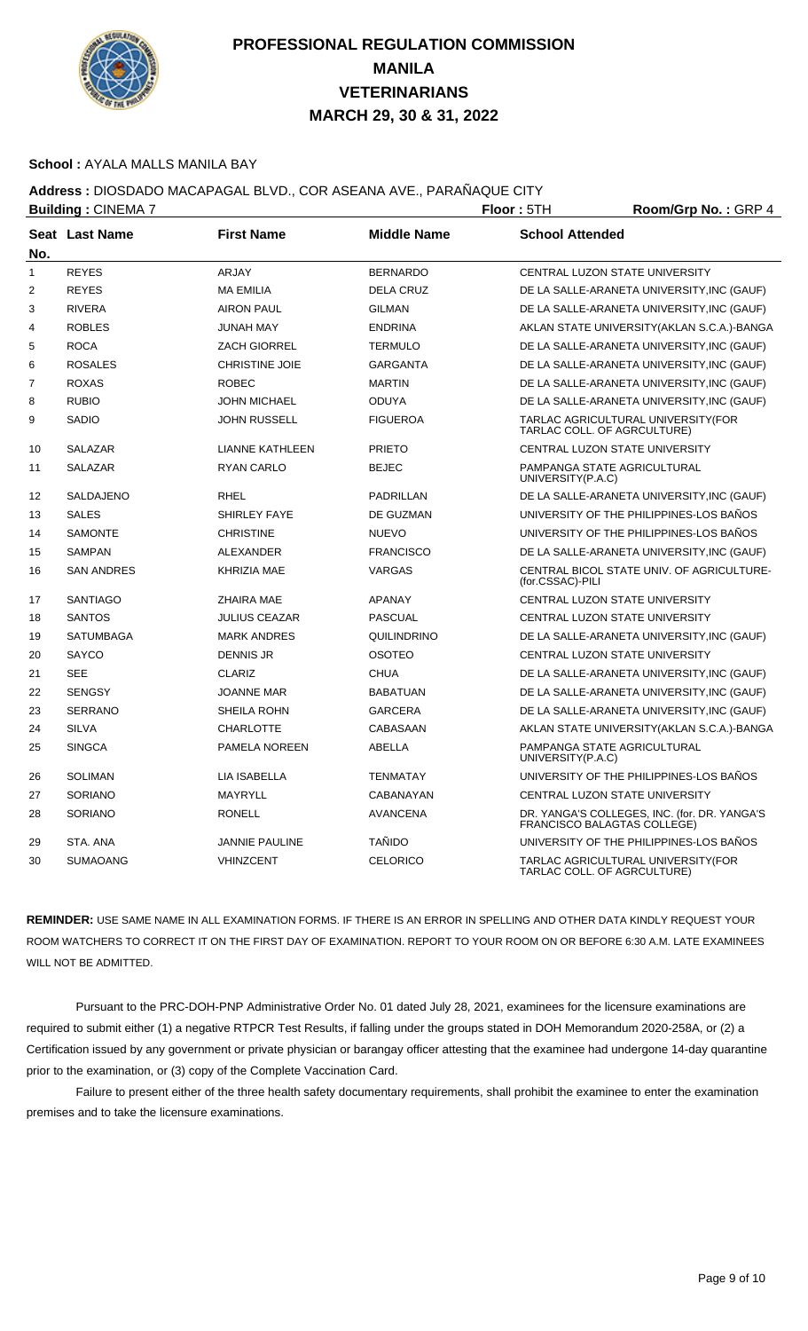

#### **School :** AYALA MALLS MANILA BAY

### **Address :** DIOSDADO MACAPAGAL BLVD., COR ASEANA AVE., PARAÑAQUE CITY

| <b>Building: CINEMA 7</b> |                       |                        | Floor: 5TH<br>Room/Grp No.: GRP 4 |                                                                             |
|---------------------------|-----------------------|------------------------|-----------------------------------|-----------------------------------------------------------------------------|
| No.                       | <b>Seat Last Name</b> | <b>First Name</b>      | <b>Middle Name</b>                | <b>School Attended</b>                                                      |
| $\mathbf{1}$              | <b>REYES</b>          | <b>ARJAY</b>           | <b>BERNARDO</b>                   | CENTRAL LUZON STATE UNIVERSITY                                              |
| $\overline{2}$            | <b>REYES</b>          | <b>MA EMILIA</b>       | <b>DELA CRUZ</b>                  | DE LA SALLE-ARANETA UNIVERSITY, INC (GAUF)                                  |
| 3                         | <b>RIVERA</b>         | <b>AIRON PAUL</b>      | <b>GILMAN</b>                     | DE LA SALLE-ARANETA UNIVERSITY, INC (GAUF)                                  |
| $\overline{4}$            | <b>ROBLES</b>         | <b>JUNAH MAY</b>       | <b>ENDRINA</b>                    | AKLAN STATE UNIVERSITY (AKLAN S.C.A.)-BANGA                                 |
| 5                         | <b>ROCA</b>           | <b>ZACH GIORREL</b>    | <b>TERMULO</b>                    | DE LA SALLE-ARANETA UNIVERSITY, INC (GAUF)                                  |
| 6                         | <b>ROSALES</b>        | <b>CHRISTINE JOIE</b>  | <b>GARGANTA</b>                   | DE LA SALLE-ARANETA UNIVERSITY, INC (GAUF)                                  |
| 7                         | <b>ROXAS</b>          | <b>ROBEC</b>           | <b>MARTIN</b>                     | DE LA SALLE-ARANETA UNIVERSITY, INC (GAUF)                                  |
| 8                         | <b>RUBIO</b>          | <b>JOHN MICHAEL</b>    | <b>ODUYA</b>                      | DE LA SALLE-ARANETA UNIVERSITY, INC (GAUF)                                  |
| 9                         | <b>SADIO</b>          | <b>JOHN RUSSELL</b>    | <b>FIGUEROA</b>                   | TARLAC AGRICULTURAL UNIVERSITY(FOR<br>TARLAC COLL. OF AGRCULTURE)           |
| 10                        | SALAZAR               | <b>LIANNE KATHLEEN</b> | <b>PRIETO</b>                     | CENTRAL LUZON STATE UNIVERSITY                                              |
| 11                        | <b>SALAZAR</b>        | <b>RYAN CARLO</b>      | <b>BEJEC</b>                      | PAMPANGA STATE AGRICULTURAL<br>UNIVERSITY(P.A.C)                            |
| 12                        | <b>SALDAJENO</b>      | <b>RHEL</b>            | <b>PADRILLAN</b>                  | DE LA SALLE-ARANETA UNIVERSITY, INC (GAUF)                                  |
| 13                        | <b>SALES</b>          | <b>SHIRLEY FAYE</b>    | DE GUZMAN                         | UNIVERSITY OF THE PHILIPPINES-LOS BAÑOS                                     |
| 14                        | <b>SAMONTE</b>        | <b>CHRISTINE</b>       | <b>NUEVO</b>                      | UNIVERSITY OF THE PHILIPPINES-LOS BAÑOS                                     |
| 15                        | <b>SAMPAN</b>         | <b>ALEXANDER</b>       | <b>FRANCISCO</b>                  | DE LA SALLE-ARANETA UNIVERSITY, INC (GAUF)                                  |
| 16                        | <b>SAN ANDRES</b>     | <b>KHRIZIA MAE</b>     | <b>VARGAS</b>                     | CENTRAL BICOL STATE UNIV. OF AGRICULTURE-<br>(for.CSSAC)-PILI               |
| 17                        | <b>SANTIAGO</b>       | <b>ZHAIRA MAE</b>      | <b>APANAY</b>                     | CENTRAL LUZON STATE UNIVERSITY                                              |
| 18                        | <b>SANTOS</b>         | <b>JULIUS CEAZAR</b>   | <b>PASCUAL</b>                    | CENTRAL LUZON STATE UNIVERSITY                                              |
| 19                        | <b>SATUMBAGA</b>      | <b>MARK ANDRES</b>     | QUILINDRINO                       | DE LA SALLE-ARANETA UNIVERSITY, INC (GAUF)                                  |
| 20                        | SAYCO                 | <b>DENNIS JR</b>       | OSOTEO                            | CENTRAL LUZON STATE UNIVERSITY                                              |
| 21                        | <b>SEE</b>            | <b>CLARIZ</b>          | <b>CHUA</b>                       | DE LA SALLE-ARANETA UNIVERSITY, INC (GAUF)                                  |
| 22                        | <b>SENGSY</b>         | <b>JOANNE MAR</b>      | <b>BABATUAN</b>                   | DE LA SALLE-ARANETA UNIVERSITY, INC (GAUF)                                  |
| 23                        | <b>SERRANO</b>        | SHEILA ROHN            | <b>GARCERA</b>                    | DE LA SALLE-ARANETA UNIVERSITY, INC (GAUF)                                  |
| 24                        | <b>SILVA</b>          | <b>CHARLOTTE</b>       | CABASAAN                          | AKLAN STATE UNIVERSITY (AKLAN S.C.A.)-BANGA                                 |
| 25                        | <b>SINGCA</b>         | PAMELA NOREEN          | <b>ABELLA</b>                     | PAMPANGA STATE AGRICULTURAL<br>UNIVERSITY(P.A.C)                            |
| 26                        | <b>SOLIMAN</b>        | <b>LIA ISABELLA</b>    | <b>TENMATAY</b>                   | UNIVERSITY OF THE PHILIPPINES-LOS BANOS                                     |
| 27                        | <b>SORIANO</b>        | <b>MAYRYLL</b>         | CABANAYAN                         | CENTRAL LUZON STATE UNIVERSITY                                              |
| 28                        | <b>SORIANO</b>        | <b>RONELL</b>          | <b>AVANCENA</b>                   | DR. YANGA'S COLLEGES, INC. (for. DR. YANGA'S<br>FRANCISCO BALAGTAS COLLEGE) |
| 29                        | STA, ANA              | <b>JANNIE PAULINE</b>  | <b>TAÑIDO</b>                     | UNIVERSITY OF THE PHILIPPINES-LOS BAÑOS                                     |
| 30                        | <b>SUMAOANG</b>       | <b>VHINZCENT</b>       | <b>CELORICO</b>                   | TARLAC AGRICULTURAL UNIVERSITY(FOR<br>TARLAC COLL. OF AGRCULTURE)           |

**REMINDER:** USE SAME NAME IN ALL EXAMINATION FORMS. IF THERE IS AN ERROR IN SPELLING AND OTHER DATA KINDLY REQUEST YOUR ROOM WATCHERS TO CORRECT IT ON THE FIRST DAY OF EXAMINATION. REPORT TO YOUR ROOM ON OR BEFORE 6:30 A.M. LATE EXAMINEES WILL NOT BE ADMITTED.

 Pursuant to the PRC-DOH-PNP Administrative Order No. 01 dated July 28, 2021, examinees for the licensure examinations are required to submit either (1) a negative RTPCR Test Results, if falling under the groups stated in DOH Memorandum 2020-258A, or (2) a Certification issued by any government or private physician or barangay officer attesting that the examinee had undergone 14-day quarantine prior to the examination, or (3) copy of the Complete Vaccination Card.